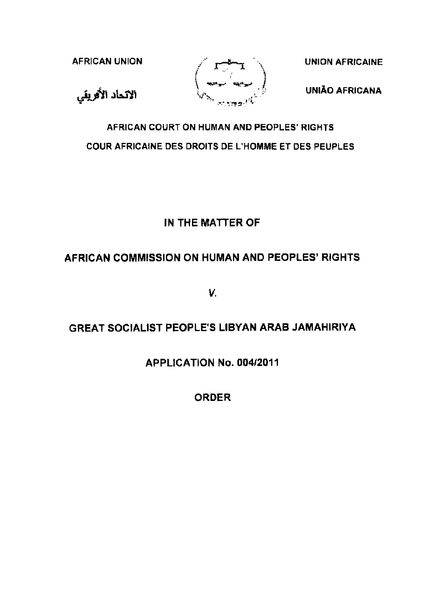



UNIÃO AFRICANA

# AFRICAN COURT ON HUMAN AND PEOPLES' RIGHTS COUR AFRICAINE DES DROITS DE L'HOMME ET DES PEUPLES

# IN THE MATTER OF

# AFRICAN COMMISSION ON HUMAN AND PEOPLES' RIGHTS

v.

# GREAT SOCIALIST PEOPLE'S LIBYAN ARAB JAMAHIRIYA

### APPLICATION No. 004/2011

ORDER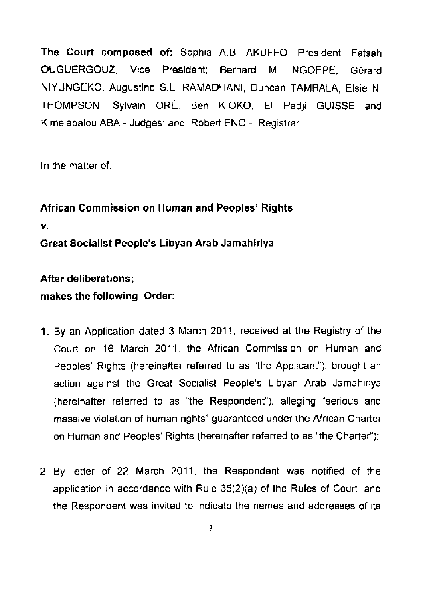**The Court composed of:** Sophia A.B. AKUFFO, President; Fatsah OUGUERGOUZ, Vice President; Bernard M. NGOEPE, Gerard NIYUNGEKO, Augustino S.L. RAMADHANI, Duncan TAMBALA, Elsie N. THOMPSON, Sylvain ORE, Ben KIOKO, El Hadji GUISSE and Kimelabalou ABA- Judges; and Robert ENO - Registrar,

In the matter of.

**African Commission on Human and Peoples' Rights**  *v.*  **Great Socialist People's Libyan Arab Jamahiriya** 

**After deliberations; makes the following Order:** 

- **1.** By an Application dated 3 March 2011 , received at the Registry of the Court on 16 March 2011, the African Commission on Human and Peoples' Rights (hereinafter referred to as "the Applicant"), brought an action against the Great Socialist People's Libyan Arab Jamahiriya (hereinafter referred to as "the Respondent"), alleging "serious and massive violation of human rights" guaranteed under the African Charter on Human and Peoples' Rights (hereinafter referred to as "the Charter");
- 2 By letter of 22 March 2011 , the Respondent was notified of the application in accordance with Rule  $35(2)(a)$  of the Rules of Court, and the Respondent was invited to indicate the names and addresses of its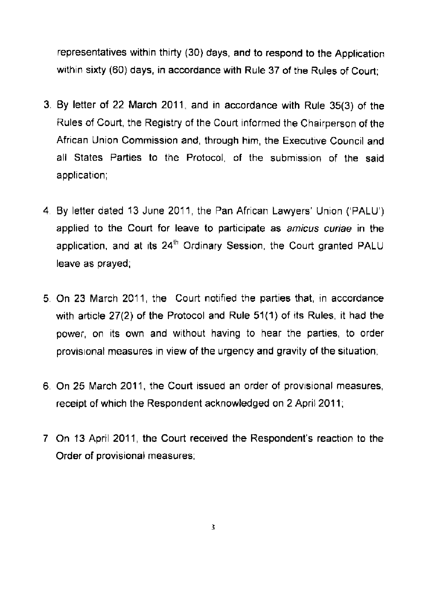representatives within thirty (30) days, and to respond to the Application within sixty (60) days, in accordance with Rule 37 of the Rules of Court;

- 3. By letter of 22 March 2011, and in accordance with Rule 35(3) of the Rules of Court, the Registry of the Court informed the Chairperson of the African Union Commission and, through him, the Executive Council and all States Parties to the Protocol, of the submission of the said application;
- 4 By letter dated 13 June 2011 , the Pan African Lawyers' Union ('PALU') applied to the Court for leave to participate as amicus curiae in the application, and at its  $24^{\text{th}}$  Ordinary Session, the Court granted PALU leave as prayed;
- 5. On 23 March 2011 , the Court notified the parties that, in accordance with article  $27(2)$  of the Protocol and Rule  $51(1)$  of its Rules, it had the power, on its own and without having to hear the parties, to order provisional measures in view of the urgency and gravity of the situation;
- 6. On 25 March 2011, the Court issued an order of provisional measures, receipt of which the Respondent acknowledged on 2 April 2011;
- 7 On 13 April 2011 , the Court received the Respondent's reaction to the Order of provisional measures;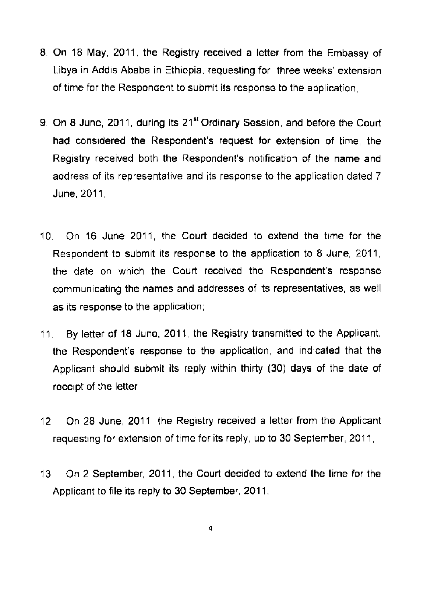- 8 On 18 May, 2011 , the Registry received a letter from the Embassy of Libya in Addis Ababa in Ethiopia, requesting for three weeks' extension of time for the Respondent to submit its response to the application,
- 9. On 8 June, 2011, during its 21<sup>st</sup> Ordinary Session, and before the Court had considered the Respondent's request for extension of time, the Registry received both the Respondent's notification of the name and address of its representative and its response to the application dated 7 **June**, 2011,
- 10. On 16 June 2011, the Court decided to extend the time for the Respondent to submit its response to the application to 8 June, 2011 , the date on which the Court received the Respondent's response communicating the names and addresses of its representatives, as well as its response to the application;
- 11 By letter of 18 June, 2011 , the Registry transmrtted to the Applicant, the Respondent's response to the application, and indicated that the Applicant should submit its reply within thirty (30) days of the date of receipt of the letter
- 12 On 28 June, 2011, the Registry received a letter from the Applicant requesting for extension of time for its reply, up to 30 September, 2011;
- 13 On 2 September, 2011, the Court decided to extend the time for the Applicant to file its reply to 30 September, 2011;

4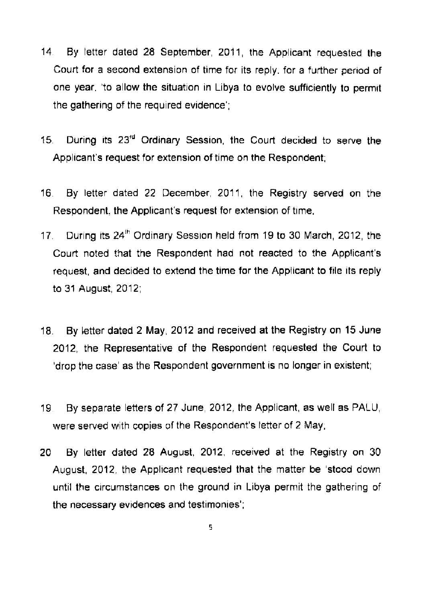- 14 By letter dated 28 September, 2011 , the Applicant requested the Court for a second extension of time for its reply, for a further period of one year, 'to allow the situation in Libya to evolve sufficiently to permit the gathering of the required evidence';
- 15. During its 23<sup>rd</sup> Ordinary Session, the Court decided to serve the Applicant's request for extension of time on the Respondent,
- 16 By letter dated 22 December, 2011 , the Registry served on the Respondent, the Applicant's request for extension of time.
- 17. During its 24<sup>th</sup> Ordinary Session held from 19 to 30 March, 2012, the Court noted that the Respondent had not reacted to the Applicant's request, and decided to extend the time for the Applicant to file its reply to 31 August, 2012;
- 18. By letter dated 2 May, 2012 and received at the Registry on 15 June 2012, the Representative of the Respondent requested the Court to 'drop the case' as the Respondent government is no longer in existent;
- 19 By separate letters of 27 June, 2012, the Applicant, as well as PALU, were served with copies of the Respondent's letter of 2 May,
- 20 By letter dated 28 August, 2012, received at the Registry on 30 August, 2012, the Applicant requested that the matter be 'stood down until the Circumstances on the ground in Libya permit the gathering of the necessary evidences and testimonies';

5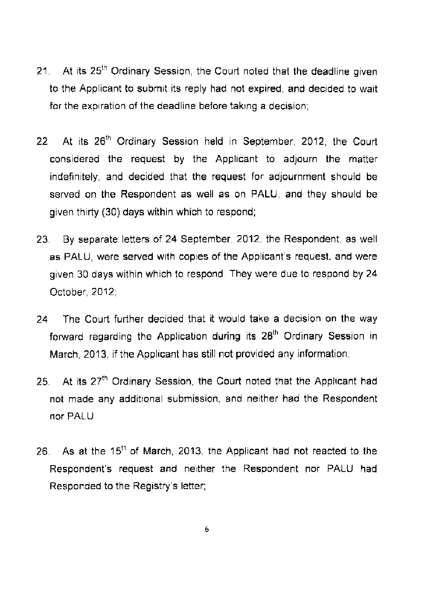- 21. At its 25<sup>th</sup> Ordinary Session, the Court noted that the deadline given to the Applicant to submit its reply had not expired, and decided to wait for the expiration of the deadline before taking a decision;
- 22 At its 26<sup>th</sup> Ordinary Session held in September, 2012, the Court considered the request by the Applicant to adjourn the matter indefinitely, and decided that the request for adjournment should be served on the Respondent as well as on PALU, and they should be given thirty (30) days within which to respond;
- 23 By separate letters of 24 September, 2012, the Respondent. as well as PALU, were served with copies of the Applicant's request, and were given 30 days within which to respond They were due to respond by 24 October, 2012;
- 24 The Court further decided that it would take a decision on the way forward regarding the Application during its 28<sup>th</sup> Ordinary Session in March, 2013, if the Applicant has still not provided any information;
- 25. At its  $27<sup>th</sup>$  Ordinary Session, the Court noted that the Applicant had not made any additional submission, and neither had the Respondent nor PALU.
- 26. As at the 15<sup>th</sup> of March, 2013, the Applicant had not reacted to the Respondent's request and neither the Respondent nor PALU had Responded to the Registry's letter;

6